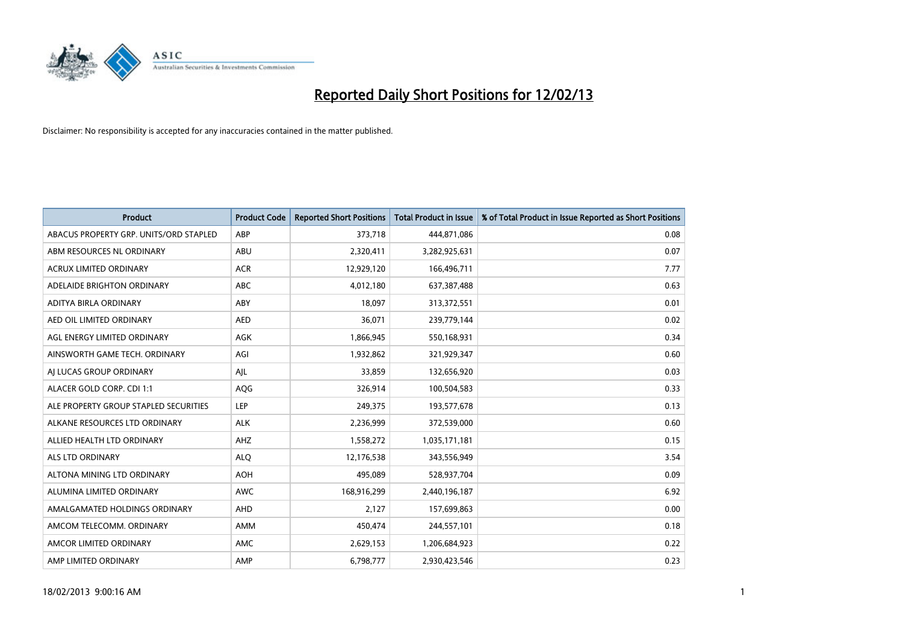

| <b>Product</b>                         | <b>Product Code</b> | <b>Reported Short Positions</b> | <b>Total Product in Issue</b> | % of Total Product in Issue Reported as Short Positions |
|----------------------------------------|---------------------|---------------------------------|-------------------------------|---------------------------------------------------------|
| ABACUS PROPERTY GRP. UNITS/ORD STAPLED | ABP                 | 373,718                         | 444,871,086                   | 0.08                                                    |
| ABM RESOURCES NL ORDINARY              | ABU                 | 2,320,411                       | 3,282,925,631                 | 0.07                                                    |
| <b>ACRUX LIMITED ORDINARY</b>          | <b>ACR</b>          | 12,929,120                      | 166,496,711                   | 7.77                                                    |
| ADELAIDE BRIGHTON ORDINARY             | ABC                 | 4,012,180                       | 637,387,488                   | 0.63                                                    |
| <b>ADITYA BIRLA ORDINARY</b>           | ABY                 | 18.097                          | 313,372,551                   | 0.01                                                    |
| AED OIL LIMITED ORDINARY               | <b>AED</b>          | 36,071                          | 239,779,144                   | 0.02                                                    |
| AGL ENERGY LIMITED ORDINARY            | <b>AGK</b>          | 1,866,945                       | 550,168,931                   | 0.34                                                    |
| AINSWORTH GAME TECH. ORDINARY          | AGI                 | 1,932,862                       | 321,929,347                   | 0.60                                                    |
| AI LUCAS GROUP ORDINARY                | AIL                 | 33,859                          | 132,656,920                   | 0.03                                                    |
| ALACER GOLD CORP. CDI 1:1              | AQG                 | 326,914                         | 100,504,583                   | 0.33                                                    |
| ALE PROPERTY GROUP STAPLED SECURITIES  | LEP                 | 249,375                         | 193,577,678                   | 0.13                                                    |
| ALKANE RESOURCES LTD ORDINARY          | <b>ALK</b>          | 2,236,999                       | 372,539,000                   | 0.60                                                    |
| ALLIED HEALTH LTD ORDINARY             | AHZ                 | 1,558,272                       | 1,035,171,181                 | 0.15                                                    |
| <b>ALS LTD ORDINARY</b>                | <b>ALO</b>          | 12,176,538                      | 343,556,949                   | 3.54                                                    |
| ALTONA MINING LTD ORDINARY             | <b>AOH</b>          | 495,089                         | 528,937,704                   | 0.09                                                    |
| ALUMINA LIMITED ORDINARY               | <b>AWC</b>          | 168,916,299                     | 2,440,196,187                 | 6.92                                                    |
| AMALGAMATED HOLDINGS ORDINARY          | AHD                 | 2,127                           | 157,699,863                   | 0.00                                                    |
| AMCOM TELECOMM. ORDINARY               | <b>AMM</b>          | 450,474                         | 244,557,101                   | 0.18                                                    |
| AMCOR LIMITED ORDINARY                 | <b>AMC</b>          | 2,629,153                       | 1,206,684,923                 | 0.22                                                    |
| AMP LIMITED ORDINARY                   | AMP                 | 6,798,777                       | 2,930,423,546                 | 0.23                                                    |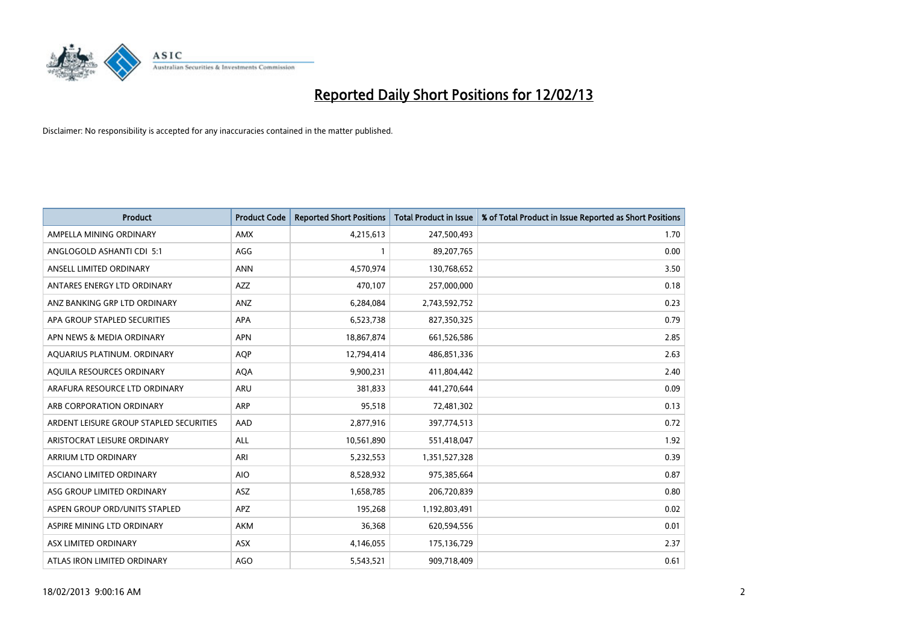

| <b>Product</b>                          | <b>Product Code</b> | <b>Reported Short Positions</b> | <b>Total Product in Issue</b> | % of Total Product in Issue Reported as Short Positions |
|-----------------------------------------|---------------------|---------------------------------|-------------------------------|---------------------------------------------------------|
| AMPELLA MINING ORDINARY                 | <b>AMX</b>          | 4,215,613                       | 247,500,493                   | 1.70                                                    |
| ANGLOGOLD ASHANTI CDI 5:1               | AGG                 |                                 | 89,207,765                    | 0.00                                                    |
| ANSELL LIMITED ORDINARY                 | <b>ANN</b>          | 4,570,974                       | 130,768,652                   | 3.50                                                    |
| ANTARES ENERGY LTD ORDINARY             | <b>AZZ</b>          | 470,107                         | 257,000,000                   | 0.18                                                    |
| ANZ BANKING GRP LTD ORDINARY            | ANZ                 | 6,284,084                       | 2,743,592,752                 | 0.23                                                    |
| APA GROUP STAPLED SECURITIES            | <b>APA</b>          | 6,523,738                       | 827,350,325                   | 0.79                                                    |
| APN NEWS & MEDIA ORDINARY               | <b>APN</b>          | 18,867,874                      | 661,526,586                   | 2.85                                                    |
| AQUARIUS PLATINUM. ORDINARY             | <b>AOP</b>          | 12,794,414                      | 486,851,336                   | 2.63                                                    |
| AQUILA RESOURCES ORDINARY               | <b>AQA</b>          | 9,900,231                       | 411,804,442                   | 2.40                                                    |
| ARAFURA RESOURCE LTD ORDINARY           | <b>ARU</b>          | 381,833                         | 441,270,644                   | 0.09                                                    |
| ARB CORPORATION ORDINARY                | <b>ARP</b>          | 95,518                          | 72,481,302                    | 0.13                                                    |
| ARDENT LEISURE GROUP STAPLED SECURITIES | AAD                 | 2,877,916                       | 397,774,513                   | 0.72                                                    |
| ARISTOCRAT LEISURE ORDINARY             | <b>ALL</b>          | 10,561,890                      | 551,418,047                   | 1.92                                                    |
| <b>ARRIUM LTD ORDINARY</b>              | ARI                 | 5,232,553                       | 1,351,527,328                 | 0.39                                                    |
| ASCIANO LIMITED ORDINARY                | <b>AIO</b>          | 8,528,932                       | 975,385,664                   | 0.87                                                    |
| ASG GROUP LIMITED ORDINARY              | <b>ASZ</b>          | 1,658,785                       | 206,720,839                   | 0.80                                                    |
| ASPEN GROUP ORD/UNITS STAPLED           | <b>APZ</b>          | 195,268                         | 1,192,803,491                 | 0.02                                                    |
| ASPIRE MINING LTD ORDINARY              | <b>AKM</b>          | 36,368                          | 620,594,556                   | 0.01                                                    |
| ASX LIMITED ORDINARY                    | <b>ASX</b>          | 4,146,055                       | 175,136,729                   | 2.37                                                    |
| ATLAS IRON LIMITED ORDINARY             | <b>AGO</b>          | 5,543,521                       | 909,718,409                   | 0.61                                                    |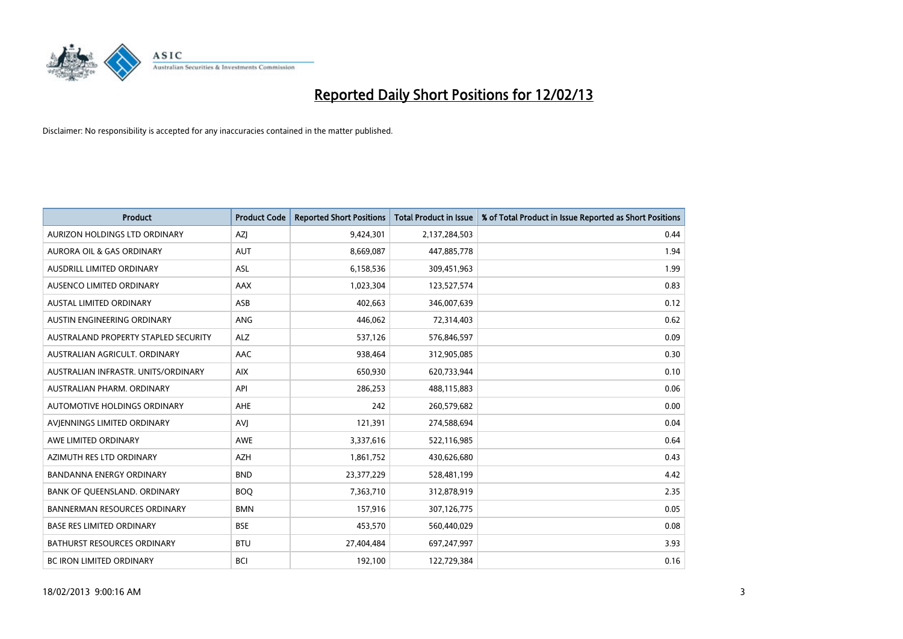

| <b>Product</b>                       | <b>Product Code</b> | <b>Reported Short Positions</b> | <b>Total Product in Issue</b> | % of Total Product in Issue Reported as Short Positions |
|--------------------------------------|---------------------|---------------------------------|-------------------------------|---------------------------------------------------------|
| AURIZON HOLDINGS LTD ORDINARY        | AZJ                 | 9,424,301                       | 2,137,284,503                 | 0.44                                                    |
| AURORA OIL & GAS ORDINARY            | <b>AUT</b>          | 8,669,087                       | 447,885,778                   | 1.94                                                    |
| <b>AUSDRILL LIMITED ORDINARY</b>     | <b>ASL</b>          | 6,158,536                       | 309,451,963                   | 1.99                                                    |
| AUSENCO LIMITED ORDINARY             | AAX                 | 1,023,304                       | 123,527,574                   | 0.83                                                    |
| <b>AUSTAL LIMITED ORDINARY</b>       | ASB                 | 402,663                         | 346,007,639                   | 0.12                                                    |
| AUSTIN ENGINEERING ORDINARY          | <b>ANG</b>          | 446,062                         | 72,314,403                    | 0.62                                                    |
| AUSTRALAND PROPERTY STAPLED SECURITY | <b>ALZ</b>          | 537,126                         | 576,846,597                   | 0.09                                                    |
| AUSTRALIAN AGRICULT. ORDINARY        | AAC                 | 938,464                         | 312,905,085                   | 0.30                                                    |
| AUSTRALIAN INFRASTR, UNITS/ORDINARY  | <b>AIX</b>          | 650,930                         | 620,733,944                   | 0.10                                                    |
| AUSTRALIAN PHARM, ORDINARY           | API                 | 286,253                         | 488,115,883                   | 0.06                                                    |
| AUTOMOTIVE HOLDINGS ORDINARY         | <b>AHE</b>          | 242                             | 260,579,682                   | 0.00                                                    |
| AVIENNINGS LIMITED ORDINARY          | AVJ                 | 121,391                         | 274,588,694                   | 0.04                                                    |
| AWE LIMITED ORDINARY                 | <b>AWE</b>          | 3,337,616                       | 522,116,985                   | 0.64                                                    |
| AZIMUTH RES LTD ORDINARY             | <b>AZH</b>          | 1,861,752                       | 430,626,680                   | 0.43                                                    |
| <b>BANDANNA ENERGY ORDINARY</b>      | <b>BND</b>          | 23,377,229                      | 528,481,199                   | 4.42                                                    |
| BANK OF QUEENSLAND. ORDINARY         | <b>BOQ</b>          | 7,363,710                       | 312,878,919                   | 2.35                                                    |
| <b>BANNERMAN RESOURCES ORDINARY</b>  | <b>BMN</b>          | 157,916                         | 307,126,775                   | 0.05                                                    |
| <b>BASE RES LIMITED ORDINARY</b>     | <b>BSE</b>          | 453,570                         | 560,440,029                   | 0.08                                                    |
| <b>BATHURST RESOURCES ORDINARY</b>   | <b>BTU</b>          | 27,404,484                      | 697,247,997                   | 3.93                                                    |
| BC IRON LIMITED ORDINARY             | <b>BCI</b>          | 192,100                         | 122,729,384                   | 0.16                                                    |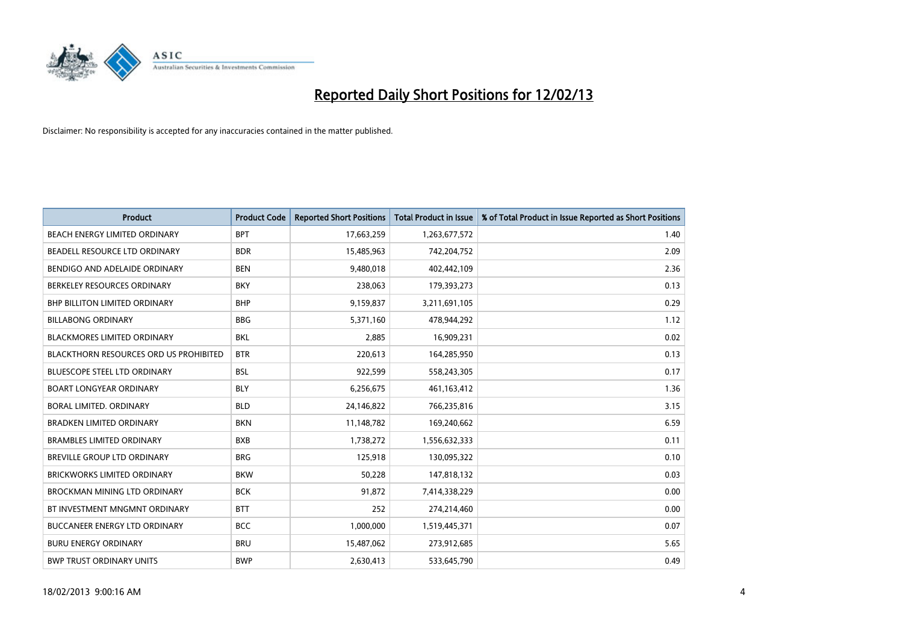

| <b>Product</b>                                | <b>Product Code</b> | <b>Reported Short Positions</b> | <b>Total Product in Issue</b> | % of Total Product in Issue Reported as Short Positions |
|-----------------------------------------------|---------------------|---------------------------------|-------------------------------|---------------------------------------------------------|
| <b>BEACH ENERGY LIMITED ORDINARY</b>          | <b>BPT</b>          | 17,663,259                      | 1,263,677,572                 | 1.40                                                    |
| BEADELL RESOURCE LTD ORDINARY                 | <b>BDR</b>          | 15,485,963                      | 742,204,752                   | 2.09                                                    |
| BENDIGO AND ADELAIDE ORDINARY                 | <b>BEN</b>          | 9,480,018                       | 402,442,109                   | 2.36                                                    |
| BERKELEY RESOURCES ORDINARY                   | <b>BKY</b>          | 238,063                         | 179,393,273                   | 0.13                                                    |
| <b>BHP BILLITON LIMITED ORDINARY</b>          | <b>BHP</b>          | 9,159,837                       | 3,211,691,105                 | 0.29                                                    |
| <b>BILLABONG ORDINARY</b>                     | <b>BBG</b>          | 5,371,160                       | 478,944,292                   | 1.12                                                    |
| <b>BLACKMORES LIMITED ORDINARY</b>            | <b>BKL</b>          | 2,885                           | 16,909,231                    | 0.02                                                    |
| <b>BLACKTHORN RESOURCES ORD US PROHIBITED</b> | <b>BTR</b>          | 220,613                         | 164,285,950                   | 0.13                                                    |
| <b>BLUESCOPE STEEL LTD ORDINARY</b>           | <b>BSL</b>          | 922,599                         | 558,243,305                   | 0.17                                                    |
| <b>BOART LONGYEAR ORDINARY</b>                | <b>BLY</b>          | 6,256,675                       | 461,163,412                   | 1.36                                                    |
| BORAL LIMITED. ORDINARY                       | <b>BLD</b>          | 24,146,822                      | 766,235,816                   | 3.15                                                    |
| <b>BRADKEN LIMITED ORDINARY</b>               | <b>BKN</b>          | 11,148,782                      | 169,240,662                   | 6.59                                                    |
| <b>BRAMBLES LIMITED ORDINARY</b>              | <b>BXB</b>          | 1,738,272                       | 1,556,632,333                 | 0.11                                                    |
| <b>BREVILLE GROUP LTD ORDINARY</b>            | <b>BRG</b>          | 125,918                         | 130,095,322                   | 0.10                                                    |
| <b>BRICKWORKS LIMITED ORDINARY</b>            | <b>BKW</b>          | 50,228                          | 147,818,132                   | 0.03                                                    |
| BROCKMAN MINING LTD ORDINARY                  | <b>BCK</b>          | 91,872                          | 7,414,338,229                 | 0.00                                                    |
| BT INVESTMENT MNGMNT ORDINARY                 | <b>BTT</b>          | 252                             | 274,214,460                   | 0.00                                                    |
| BUCCANEER ENERGY LTD ORDINARY                 | <b>BCC</b>          | 1,000,000                       | 1,519,445,371                 | 0.07                                                    |
| <b>BURU ENERGY ORDINARY</b>                   | <b>BRU</b>          | 15,487,062                      | 273,912,685                   | 5.65                                                    |
| <b>BWP TRUST ORDINARY UNITS</b>               | <b>BWP</b>          | 2,630,413                       | 533,645,790                   | 0.49                                                    |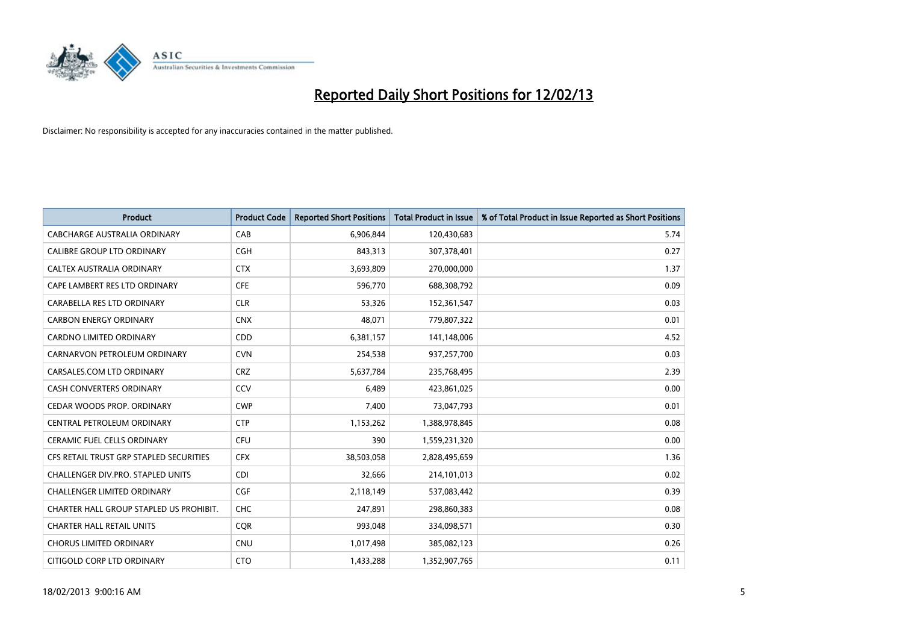

| <b>Product</b>                          | <b>Product Code</b> | <b>Reported Short Positions</b> | <b>Total Product in Issue</b> | % of Total Product in Issue Reported as Short Positions |
|-----------------------------------------|---------------------|---------------------------------|-------------------------------|---------------------------------------------------------|
| CABCHARGE AUSTRALIA ORDINARY            | CAB                 | 6,906,844                       | 120,430,683                   | 5.74                                                    |
| CALIBRE GROUP LTD ORDINARY              | <b>CGH</b>          | 843,313                         | 307,378,401                   | 0.27                                                    |
| CALTEX AUSTRALIA ORDINARY               | <b>CTX</b>          | 3,693,809                       | 270,000,000                   | 1.37                                                    |
| CAPE LAMBERT RES LTD ORDINARY           | <b>CFE</b>          | 596,770                         | 688,308,792                   | 0.09                                                    |
| CARABELLA RES LTD ORDINARY              | <b>CLR</b>          | 53,326                          | 152,361,547                   | 0.03                                                    |
| <b>CARBON ENERGY ORDINARY</b>           | <b>CNX</b>          | 48,071                          | 779,807,322                   | 0.01                                                    |
| <b>CARDNO LIMITED ORDINARY</b>          | <b>CDD</b>          | 6,381,157                       | 141,148,006                   | 4.52                                                    |
| CARNARVON PETROLEUM ORDINARY            | <b>CVN</b>          | 254,538                         | 937,257,700                   | 0.03                                                    |
| CARSALES.COM LTD ORDINARY               | <b>CRZ</b>          | 5,637,784                       | 235,768,495                   | 2.39                                                    |
| <b>CASH CONVERTERS ORDINARY</b>         | CCV                 | 6,489                           | 423,861,025                   | 0.00                                                    |
| CEDAR WOODS PROP. ORDINARY              | <b>CWP</b>          | 7,400                           | 73,047,793                    | 0.01                                                    |
| CENTRAL PETROLEUM ORDINARY              | <b>CTP</b>          | 1,153,262                       | 1,388,978,845                 | 0.08                                                    |
| CERAMIC FUEL CELLS ORDINARY             | CFU                 | 390                             | 1,559,231,320                 | 0.00                                                    |
| CFS RETAIL TRUST GRP STAPLED SECURITIES | <b>CFX</b>          | 38,503,058                      | 2,828,495,659                 | 1.36                                                    |
| CHALLENGER DIV.PRO. STAPLED UNITS       | <b>CDI</b>          | 32,666                          | 214,101,013                   | 0.02                                                    |
| CHALLENGER LIMITED ORDINARY             | <b>CGF</b>          | 2,118,149                       | 537,083,442                   | 0.39                                                    |
| CHARTER HALL GROUP STAPLED US PROHIBIT. | <b>CHC</b>          | 247,891                         | 298,860,383                   | 0.08                                                    |
| <b>CHARTER HALL RETAIL UNITS</b>        | <b>CQR</b>          | 993,048                         | 334,098,571                   | 0.30                                                    |
| <b>CHORUS LIMITED ORDINARY</b>          | <b>CNU</b>          | 1,017,498                       | 385,082,123                   | 0.26                                                    |
| CITIGOLD CORP LTD ORDINARY              | <b>CTO</b>          | 1,433,288                       | 1,352,907,765                 | 0.11                                                    |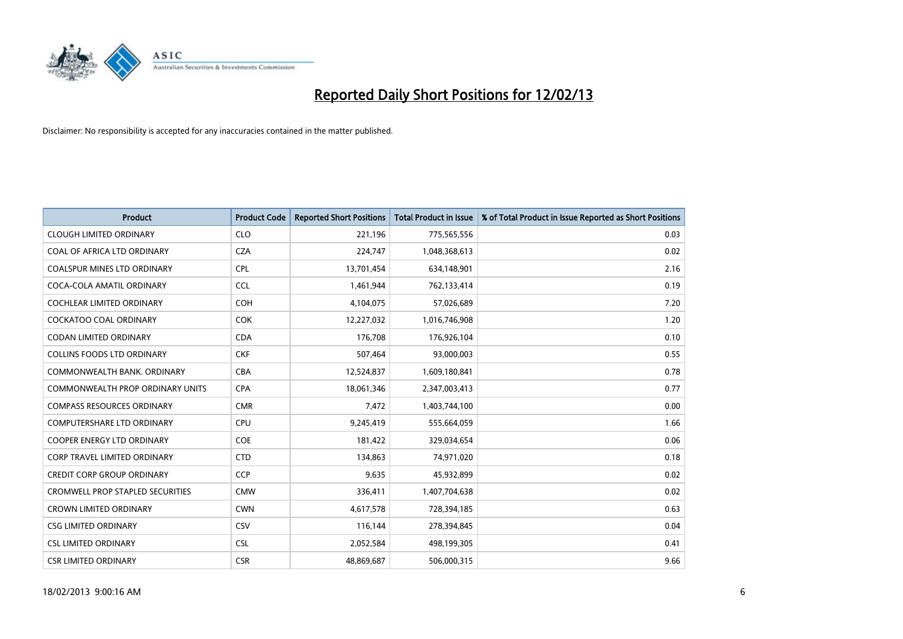

| <b>Product</b>                          | <b>Product Code</b> | <b>Reported Short Positions</b> | Total Product in Issue | % of Total Product in Issue Reported as Short Positions |
|-----------------------------------------|---------------------|---------------------------------|------------------------|---------------------------------------------------------|
| <b>CLOUGH LIMITED ORDINARY</b>          | <b>CLO</b>          | 221,196                         | 775,565,556            | 0.03                                                    |
| COAL OF AFRICA LTD ORDINARY             | <b>CZA</b>          | 224,747                         | 1,048,368,613          | 0.02                                                    |
| <b>COALSPUR MINES LTD ORDINARY</b>      | <b>CPL</b>          | 13,701,454                      | 634,148,901            | 2.16                                                    |
| COCA-COLA AMATIL ORDINARY               | <b>CCL</b>          | 1,461,944                       | 762,133,414            | 0.19                                                    |
| <b>COCHLEAR LIMITED ORDINARY</b>        | <b>COH</b>          | 4,104,075                       | 57,026,689             | 7.20                                                    |
| <b>COCKATOO COAL ORDINARY</b>           | <b>COK</b>          | 12,227,032                      | 1,016,746,908          | 1.20                                                    |
| <b>CODAN LIMITED ORDINARY</b>           | <b>CDA</b>          | 176,708                         | 176,926,104            | 0.10                                                    |
| <b>COLLINS FOODS LTD ORDINARY</b>       | <b>CKF</b>          | 507,464                         | 93,000,003             | 0.55                                                    |
| COMMONWEALTH BANK, ORDINARY             | <b>CBA</b>          | 12,524,837                      | 1,609,180,841          | 0.78                                                    |
| <b>COMMONWEALTH PROP ORDINARY UNITS</b> | <b>CPA</b>          | 18,061,346                      | 2,347,003,413          | 0.77                                                    |
| <b>COMPASS RESOURCES ORDINARY</b>       | <b>CMR</b>          | 7,472                           | 1,403,744,100          | 0.00                                                    |
| <b>COMPUTERSHARE LTD ORDINARY</b>       | <b>CPU</b>          | 9,245,419                       | 555,664,059            | 1.66                                                    |
| <b>COOPER ENERGY LTD ORDINARY</b>       | <b>COE</b>          | 181,422                         | 329,034,654            | 0.06                                                    |
| <b>CORP TRAVEL LIMITED ORDINARY</b>     | <b>CTD</b>          | 134,863                         | 74,971,020             | 0.18                                                    |
| <b>CREDIT CORP GROUP ORDINARY</b>       | <b>CCP</b>          | 9,635                           | 45,932,899             | 0.02                                                    |
| <b>CROMWELL PROP STAPLED SECURITIES</b> | <b>CMW</b>          | 336,411                         | 1,407,704,638          | 0.02                                                    |
| <b>CROWN LIMITED ORDINARY</b>           | <b>CWN</b>          | 4,617,578                       | 728,394,185            | 0.63                                                    |
| <b>CSG LIMITED ORDINARY</b>             | CSV                 | 116,144                         | 278,394,845            | 0.04                                                    |
| <b>CSL LIMITED ORDINARY</b>             | <b>CSL</b>          | 2,052,584                       | 498,199,305            | 0.41                                                    |
| <b>CSR LIMITED ORDINARY</b>             | <b>CSR</b>          | 48.869.687                      | 506,000,315            | 9.66                                                    |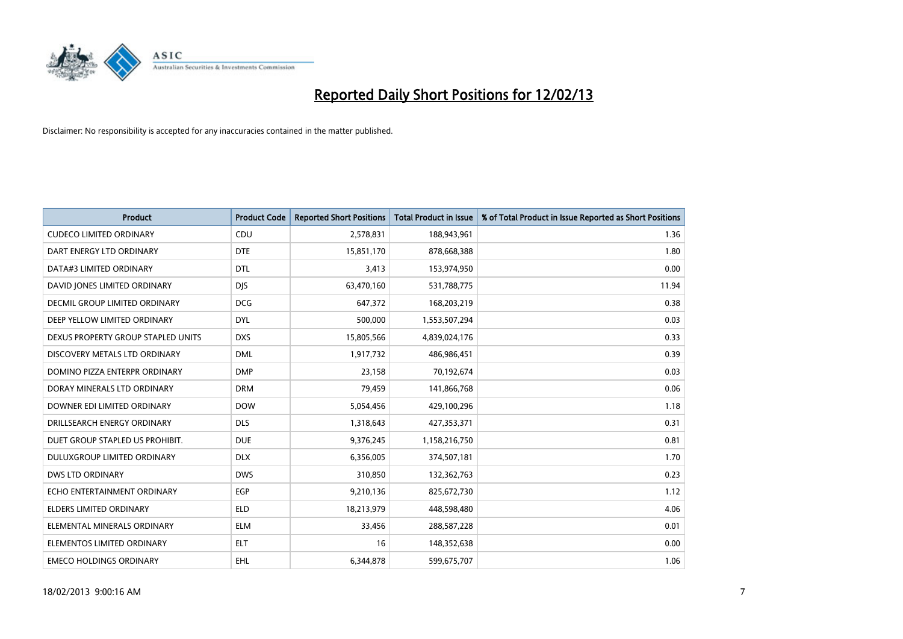

| <b>Product</b>                     | <b>Product Code</b> | <b>Reported Short Positions</b> | <b>Total Product in Issue</b> | % of Total Product in Issue Reported as Short Positions |
|------------------------------------|---------------------|---------------------------------|-------------------------------|---------------------------------------------------------|
| <b>CUDECO LIMITED ORDINARY</b>     | CDU                 | 2,578,831                       | 188,943,961                   | 1.36                                                    |
| DART ENERGY LTD ORDINARY           | <b>DTE</b>          | 15,851,170                      | 878,668,388                   | 1.80                                                    |
| DATA#3 LIMITED ORDINARY            | <b>DTL</b>          | 3,413                           | 153,974,950                   | 0.00                                                    |
| DAVID JONES LIMITED ORDINARY       | <b>DJS</b>          | 63,470,160                      | 531,788,775                   | 11.94                                                   |
| DECMIL GROUP LIMITED ORDINARY      | <b>DCG</b>          | 647,372                         | 168,203,219                   | 0.38                                                    |
| DEEP YELLOW LIMITED ORDINARY       | <b>DYL</b>          | 500,000                         | 1,553,507,294                 | 0.03                                                    |
| DEXUS PROPERTY GROUP STAPLED UNITS | <b>DXS</b>          | 15,805,566                      | 4,839,024,176                 | 0.33                                                    |
| DISCOVERY METALS LTD ORDINARY      | <b>DML</b>          | 1,917,732                       | 486,986,451                   | 0.39                                                    |
| DOMINO PIZZA ENTERPR ORDINARY      | <b>DMP</b>          | 23,158                          | 70,192,674                    | 0.03                                                    |
| DORAY MINERALS LTD ORDINARY        | <b>DRM</b>          | 79,459                          | 141,866,768                   | 0.06                                                    |
| DOWNER EDI LIMITED ORDINARY        | <b>DOW</b>          | 5,054,456                       | 429,100,296                   | 1.18                                                    |
| DRILLSEARCH ENERGY ORDINARY        | <b>DLS</b>          | 1,318,643                       | 427,353,371                   | 0.31                                                    |
| DUET GROUP STAPLED US PROHIBIT.    | <b>DUE</b>          | 9,376,245                       | 1,158,216,750                 | 0.81                                                    |
| DULUXGROUP LIMITED ORDINARY        | <b>DLX</b>          | 6,356,005                       | 374,507,181                   | 1.70                                                    |
| <b>DWS LTD ORDINARY</b>            | <b>DWS</b>          | 310,850                         | 132,362,763                   | 0.23                                                    |
| ECHO ENTERTAINMENT ORDINARY        | <b>EGP</b>          | 9,210,136                       | 825,672,730                   | 1.12                                                    |
| ELDERS LIMITED ORDINARY            | <b>ELD</b>          | 18,213,979                      | 448,598,480                   | 4.06                                                    |
| ELEMENTAL MINERALS ORDINARY        | <b>ELM</b>          | 33,456                          | 288,587,228                   | 0.01                                                    |
| ELEMENTOS LIMITED ORDINARY         | <b>ELT</b>          | 16                              | 148,352,638                   | 0.00                                                    |
| <b>EMECO HOLDINGS ORDINARY</b>     | <b>EHL</b>          | 6,344,878                       | 599,675,707                   | 1.06                                                    |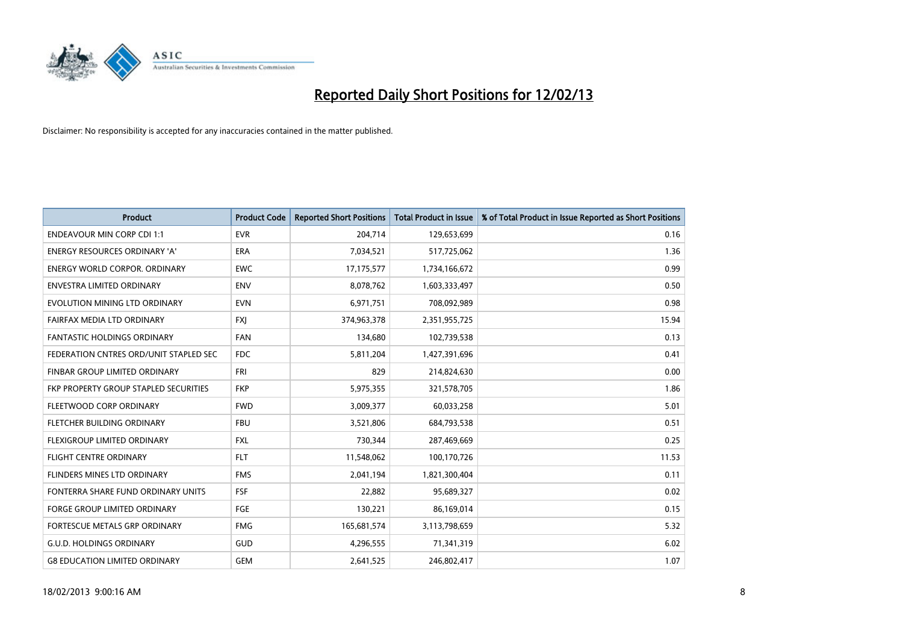

| <b>Product</b>                         | <b>Product Code</b> | <b>Reported Short Positions</b> | <b>Total Product in Issue</b> | % of Total Product in Issue Reported as Short Positions |
|----------------------------------------|---------------------|---------------------------------|-------------------------------|---------------------------------------------------------|
| <b>ENDEAVOUR MIN CORP CDI 1:1</b>      | <b>EVR</b>          | 204,714                         | 129,653,699                   | 0.16                                                    |
| ENERGY RESOURCES ORDINARY 'A'          | <b>ERA</b>          | 7,034,521                       | 517,725,062                   | 1.36                                                    |
| <b>ENERGY WORLD CORPOR, ORDINARY</b>   | <b>EWC</b>          | 17,175,577                      | 1,734,166,672                 | 0.99                                                    |
| <b>ENVESTRA LIMITED ORDINARY</b>       | <b>ENV</b>          | 8,078,762                       | 1,603,333,497                 | 0.50                                                    |
| EVOLUTION MINING LTD ORDINARY          | <b>EVN</b>          | 6,971,751                       | 708,092,989                   | 0.98                                                    |
| FAIRFAX MEDIA LTD ORDINARY             | <b>FXI</b>          | 374,963,378                     | 2,351,955,725                 | 15.94                                                   |
| FANTASTIC HOLDINGS ORDINARY            | <b>FAN</b>          | 134,680                         | 102,739,538                   | 0.13                                                    |
| FEDERATION CNTRES ORD/UNIT STAPLED SEC | <b>FDC</b>          | 5,811,204                       | 1,427,391,696                 | 0.41                                                    |
| FINBAR GROUP LIMITED ORDINARY          | <b>FRI</b>          | 829                             | 214,824,630                   | 0.00                                                    |
| FKP PROPERTY GROUP STAPLED SECURITIES  | <b>FKP</b>          | 5,975,355                       | 321,578,705                   | 1.86                                                    |
| FLEETWOOD CORP ORDINARY                | <b>FWD</b>          | 3,009,377                       | 60,033,258                    | 5.01                                                    |
| FLETCHER BUILDING ORDINARY             | <b>FBU</b>          | 3,521,806                       | 684,793,538                   | 0.51                                                    |
| FLEXIGROUP LIMITED ORDINARY            | <b>FXL</b>          | 730,344                         | 287,469,669                   | 0.25                                                    |
| <b>FLIGHT CENTRE ORDINARY</b>          | <b>FLT</b>          | 11,548,062                      | 100,170,726                   | 11.53                                                   |
| FLINDERS MINES LTD ORDINARY            | <b>FMS</b>          | 2,041,194                       | 1,821,300,404                 | 0.11                                                    |
| FONTERRA SHARE FUND ORDINARY UNITS     | <b>FSF</b>          | 22,882                          | 95,689,327                    | 0.02                                                    |
| FORGE GROUP LIMITED ORDINARY           | <b>FGE</b>          | 130,221                         | 86,169,014                    | 0.15                                                    |
| <b>FORTESCUE METALS GRP ORDINARY</b>   | <b>FMG</b>          | 165,681,574                     | 3,113,798,659                 | 5.32                                                    |
| <b>G.U.D. HOLDINGS ORDINARY</b>        | <b>GUD</b>          | 4,296,555                       | 71,341,319                    | 6.02                                                    |
| <b>G8 EDUCATION LIMITED ORDINARY</b>   | <b>GEM</b>          | 2,641,525                       | 246,802,417                   | 1.07                                                    |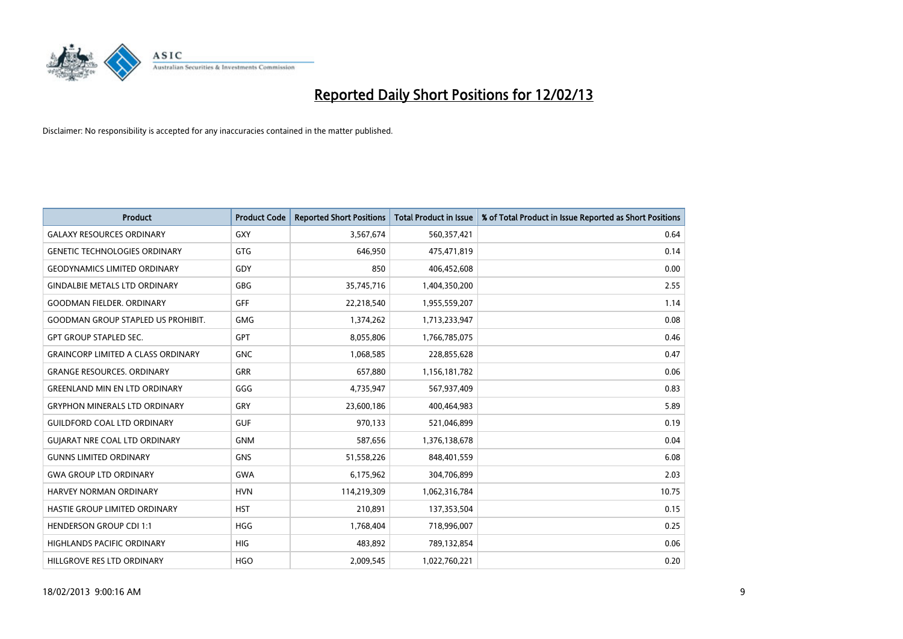

| <b>Product</b>                            | <b>Product Code</b> | <b>Reported Short Positions</b> | <b>Total Product in Issue</b> | % of Total Product in Issue Reported as Short Positions |
|-------------------------------------------|---------------------|---------------------------------|-------------------------------|---------------------------------------------------------|
| <b>GALAXY RESOURCES ORDINARY</b>          | <b>GXY</b>          | 3,567,674                       | 560,357,421                   | 0.64                                                    |
| <b>GENETIC TECHNOLOGIES ORDINARY</b>      | <b>GTG</b>          | 646.950                         | 475,471,819                   | 0.14                                                    |
| <b>GEODYNAMICS LIMITED ORDINARY</b>       | GDY                 | 850                             | 406,452,608                   | 0.00                                                    |
| <b>GINDALBIE METALS LTD ORDINARY</b>      | <b>GBG</b>          | 35,745,716                      | 1,404,350,200                 | 2.55                                                    |
| <b>GOODMAN FIELDER, ORDINARY</b>          | GFF                 | 22,218,540                      | 1,955,559,207                 | 1.14                                                    |
| <b>GOODMAN GROUP STAPLED US PROHIBIT.</b> | <b>GMG</b>          | 1,374,262                       | 1,713,233,947                 | 0.08                                                    |
| <b>GPT GROUP STAPLED SEC.</b>             | <b>GPT</b>          | 8,055,806                       | 1,766,785,075                 | 0.46                                                    |
| <b>GRAINCORP LIMITED A CLASS ORDINARY</b> | <b>GNC</b>          | 1,068,585                       | 228,855,628                   | 0.47                                                    |
| <b>GRANGE RESOURCES. ORDINARY</b>         | <b>GRR</b>          | 657,880                         | 1,156,181,782                 | 0.06                                                    |
| <b>GREENLAND MIN EN LTD ORDINARY</b>      | GGG                 | 4,735,947                       | 567,937,409                   | 0.83                                                    |
| <b>GRYPHON MINERALS LTD ORDINARY</b>      | GRY                 | 23,600,186                      | 400,464,983                   | 5.89                                                    |
| <b>GUILDFORD COAL LTD ORDINARY</b>        | <b>GUF</b>          | 970,133                         | 521,046,899                   | 0.19                                                    |
| <b>GUIARAT NRE COAL LTD ORDINARY</b>      | <b>GNM</b>          | 587,656                         | 1,376,138,678                 | 0.04                                                    |
| <b>GUNNS LIMITED ORDINARY</b>             | <b>GNS</b>          | 51,558,226                      | 848,401,559                   | 6.08                                                    |
| <b>GWA GROUP LTD ORDINARY</b>             | <b>GWA</b>          | 6,175,962                       | 304,706,899                   | 2.03                                                    |
| <b>HARVEY NORMAN ORDINARY</b>             | <b>HVN</b>          | 114,219,309                     | 1,062,316,784                 | 10.75                                                   |
| HASTIE GROUP LIMITED ORDINARY             | <b>HST</b>          | 210,891                         | 137,353,504                   | 0.15                                                    |
| <b>HENDERSON GROUP CDI 1:1</b>            | <b>HGG</b>          | 1,768,404                       | 718,996,007                   | 0.25                                                    |
| <b>HIGHLANDS PACIFIC ORDINARY</b>         | <b>HIG</b>          | 483,892                         | 789,132,854                   | 0.06                                                    |
| HILLGROVE RES LTD ORDINARY                | <b>HGO</b>          | 2,009,545                       | 1.022.760.221                 | 0.20                                                    |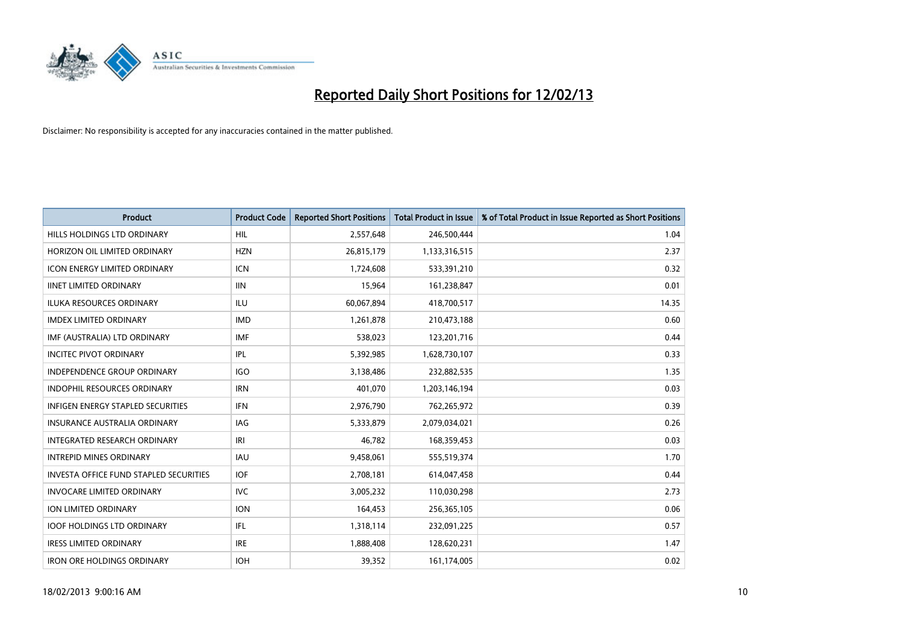

| <b>Product</b>                                | <b>Product Code</b> | <b>Reported Short Positions</b> | <b>Total Product in Issue</b> | % of Total Product in Issue Reported as Short Positions |
|-----------------------------------------------|---------------------|---------------------------------|-------------------------------|---------------------------------------------------------|
| HILLS HOLDINGS LTD ORDINARY                   | <b>HIL</b>          | 2,557,648                       | 246,500,444                   | 1.04                                                    |
| HORIZON OIL LIMITED ORDINARY                  | <b>HZN</b>          | 26,815,179                      | 1,133,316,515                 | 2.37                                                    |
| <b>ICON ENERGY LIMITED ORDINARY</b>           | <b>ICN</b>          | 1,724,608                       | 533,391,210                   | 0.32                                                    |
| <b>IINET LIMITED ORDINARY</b>                 | <b>IIN</b>          | 15,964                          | 161,238,847                   | 0.01                                                    |
| <b>ILUKA RESOURCES ORDINARY</b>               | ILU                 | 60,067,894                      | 418,700,517                   | 14.35                                                   |
| <b>IMDEX LIMITED ORDINARY</b>                 | <b>IMD</b>          | 1,261,878                       | 210,473,188                   | 0.60                                                    |
| IMF (AUSTRALIA) LTD ORDINARY                  | <b>IMF</b>          | 538,023                         | 123,201,716                   | 0.44                                                    |
| <b>INCITEC PIVOT ORDINARY</b>                 | IPL                 | 5,392,985                       | 1,628,730,107                 | 0.33                                                    |
| INDEPENDENCE GROUP ORDINARY                   | <b>IGO</b>          | 3,138,486                       | 232,882,535                   | 1.35                                                    |
| <b>INDOPHIL RESOURCES ORDINARY</b>            | <b>IRN</b>          | 401,070                         | 1,203,146,194                 | 0.03                                                    |
| INFIGEN ENERGY STAPLED SECURITIES             | <b>IFN</b>          | 2,976,790                       | 762,265,972                   | 0.39                                                    |
| <b>INSURANCE AUSTRALIA ORDINARY</b>           | IAG                 | 5,333,879                       | 2,079,034,021                 | 0.26                                                    |
| <b>INTEGRATED RESEARCH ORDINARY</b>           | IRI                 | 46,782                          | 168,359,453                   | 0.03                                                    |
| <b>INTREPID MINES ORDINARY</b>                | <b>IAU</b>          | 9,458,061                       | 555,519,374                   | 1.70                                                    |
| <b>INVESTA OFFICE FUND STAPLED SECURITIES</b> | <b>IOF</b>          | 2,708,181                       | 614,047,458                   | 0.44                                                    |
| <b>INVOCARE LIMITED ORDINARY</b>              | <b>IVC</b>          | 3,005,232                       | 110,030,298                   | 2.73                                                    |
| ION LIMITED ORDINARY                          | <b>ION</b>          | 164,453                         | 256,365,105                   | 0.06                                                    |
| <b>IOOF HOLDINGS LTD ORDINARY</b>             | IFL.                | 1,318,114                       | 232,091,225                   | 0.57                                                    |
| <b>IRESS LIMITED ORDINARY</b>                 | <b>IRE</b>          | 1,888,408                       | 128,620,231                   | 1.47                                                    |
| <b>IRON ORE HOLDINGS ORDINARY</b>             | <b>IOH</b>          | 39,352                          | 161,174,005                   | 0.02                                                    |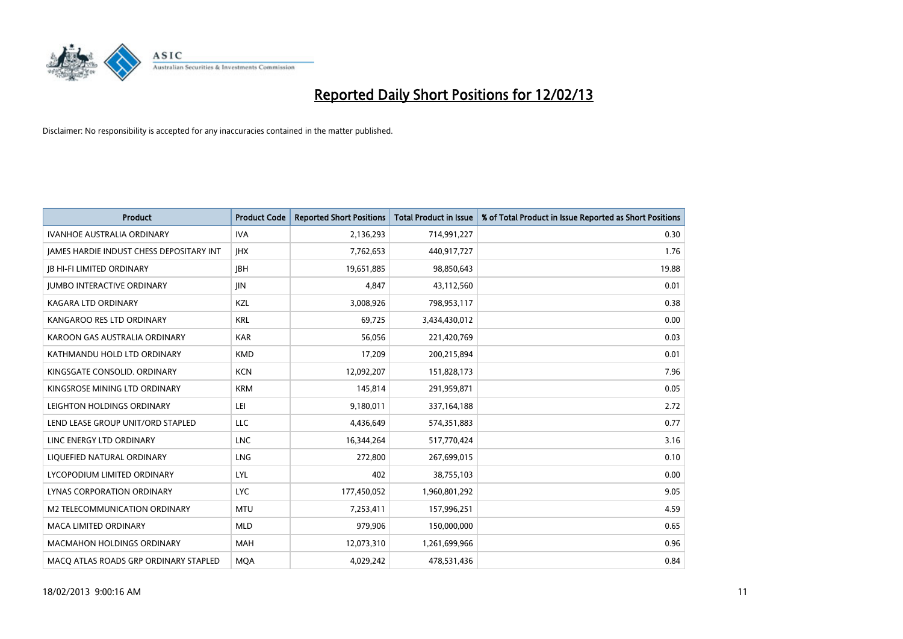

| <b>Product</b>                                  | <b>Product Code</b> | <b>Reported Short Positions</b> | <b>Total Product in Issue</b> | % of Total Product in Issue Reported as Short Positions |
|-------------------------------------------------|---------------------|---------------------------------|-------------------------------|---------------------------------------------------------|
| <b>IVANHOE AUSTRALIA ORDINARY</b>               | <b>IVA</b>          | 2,136,293                       | 714,991,227                   | 0.30                                                    |
| <b>JAMES HARDIE INDUST CHESS DEPOSITARY INT</b> | <b>IHX</b>          | 7,762,653                       | 440,917,727                   | 1.76                                                    |
| <b>JB HI-FI LIMITED ORDINARY</b>                | <b>IBH</b>          | 19,651,885                      | 98,850,643                    | 19.88                                                   |
| <b>JUMBO INTERACTIVE ORDINARY</b>               | <b>JIN</b>          | 4,847                           | 43,112,560                    | 0.01                                                    |
| <b>KAGARA LTD ORDINARY</b>                      | <b>KZL</b>          | 3,008,926                       | 798,953,117                   | 0.38                                                    |
| KANGAROO RES LTD ORDINARY                       | <b>KRL</b>          | 69,725                          | 3,434,430,012                 | 0.00                                                    |
| KAROON GAS AUSTRALIA ORDINARY                   | <b>KAR</b>          | 56.056                          | 221,420,769                   | 0.03                                                    |
| KATHMANDU HOLD LTD ORDINARY                     | <b>KMD</b>          | 17,209                          | 200,215,894                   | 0.01                                                    |
| KINGSGATE CONSOLID. ORDINARY                    | <b>KCN</b>          | 12,092,207                      | 151,828,173                   | 7.96                                                    |
| KINGSROSE MINING LTD ORDINARY                   | <b>KRM</b>          | 145,814                         | 291,959,871                   | 0.05                                                    |
| LEIGHTON HOLDINGS ORDINARY                      | LEI                 | 9,180,011                       | 337,164,188                   | 2.72                                                    |
| LEND LEASE GROUP UNIT/ORD STAPLED               | LLC                 | 4,436,649                       | 574,351,883                   | 0.77                                                    |
| LINC ENERGY LTD ORDINARY                        | <b>LNC</b>          | 16,344,264                      | 517,770,424                   | 3.16                                                    |
| LIQUEFIED NATURAL ORDINARY                      | LNG                 | 272,800                         | 267,699,015                   | 0.10                                                    |
| LYCOPODIUM LIMITED ORDINARY                     | LYL                 | 402                             | 38,755,103                    | 0.00                                                    |
| LYNAS CORPORATION ORDINARY                      | <b>LYC</b>          | 177,450,052                     | 1,960,801,292                 | 9.05                                                    |
| M2 TELECOMMUNICATION ORDINARY                   | <b>MTU</b>          | 7,253,411                       | 157,996,251                   | 4.59                                                    |
| <b>MACA LIMITED ORDINARY</b>                    | <b>MLD</b>          | 979,906                         | 150,000,000                   | 0.65                                                    |
| <b>MACMAHON HOLDINGS ORDINARY</b>               | <b>MAH</b>          | 12,073,310                      | 1,261,699,966                 | 0.96                                                    |
| MACO ATLAS ROADS GRP ORDINARY STAPLED           | <b>MOA</b>          | 4.029.242                       | 478,531,436                   | 0.84                                                    |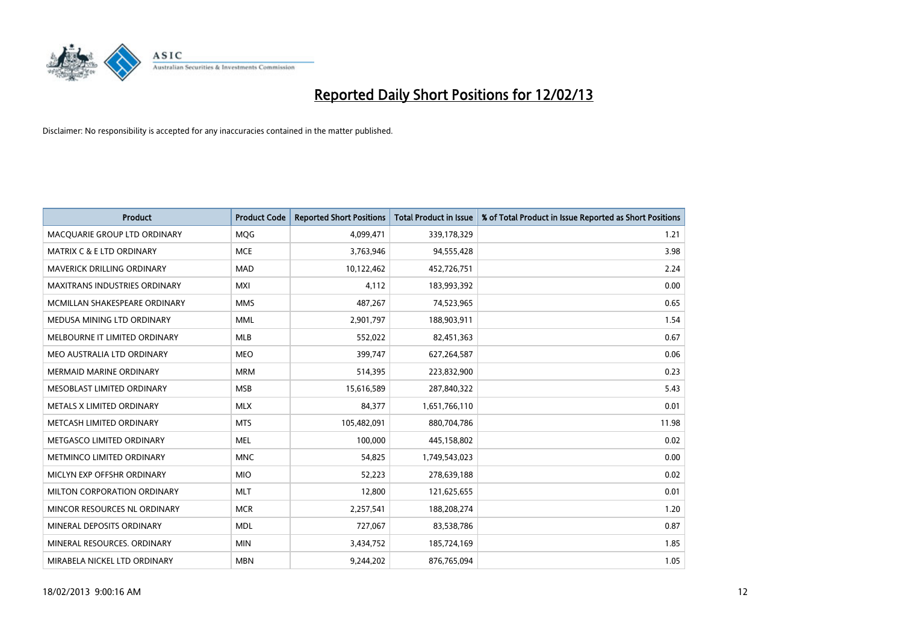

| <b>Product</b>                       | <b>Product Code</b> | <b>Reported Short Positions</b> | <b>Total Product in Issue</b> | % of Total Product in Issue Reported as Short Positions |
|--------------------------------------|---------------------|---------------------------------|-------------------------------|---------------------------------------------------------|
| MACQUARIE GROUP LTD ORDINARY         | <b>MOG</b>          | 4,099,471                       | 339,178,329                   | 1.21                                                    |
| <b>MATRIX C &amp; E LTD ORDINARY</b> | <b>MCE</b>          | 3,763,946                       | 94,555,428                    | 3.98                                                    |
| <b>MAVERICK DRILLING ORDINARY</b>    | <b>MAD</b>          | 10,122,462                      | 452,726,751                   | 2.24                                                    |
| MAXITRANS INDUSTRIES ORDINARY        | <b>MXI</b>          | 4,112                           | 183,993,392                   | 0.00                                                    |
| MCMILLAN SHAKESPEARE ORDINARY        | <b>MMS</b>          | 487,267                         | 74,523,965                    | 0.65                                                    |
| MEDUSA MINING LTD ORDINARY           | <b>MML</b>          | 2,901,797                       | 188,903,911                   | 1.54                                                    |
| MELBOURNE IT LIMITED ORDINARY        | <b>MLB</b>          | 552,022                         | 82,451,363                    | 0.67                                                    |
| MEO AUSTRALIA LTD ORDINARY           | <b>MEO</b>          | 399,747                         | 627,264,587                   | 0.06                                                    |
| <b>MERMAID MARINE ORDINARY</b>       | <b>MRM</b>          | 514,395                         | 223,832,900                   | 0.23                                                    |
| MESOBLAST LIMITED ORDINARY           | <b>MSB</b>          | 15,616,589                      | 287,840,322                   | 5.43                                                    |
| METALS X LIMITED ORDINARY            | <b>MLX</b>          | 84,377                          | 1,651,766,110                 | 0.01                                                    |
| METCASH LIMITED ORDINARY             | <b>MTS</b>          | 105,482,091                     | 880,704,786                   | 11.98                                                   |
| METGASCO LIMITED ORDINARY            | <b>MEL</b>          | 100,000                         | 445,158,802                   | 0.02                                                    |
| METMINCO LIMITED ORDINARY            | <b>MNC</b>          | 54,825                          | 1,749,543,023                 | 0.00                                                    |
| MICLYN EXP OFFSHR ORDINARY           | <b>MIO</b>          | 52,223                          | 278,639,188                   | 0.02                                                    |
| MILTON CORPORATION ORDINARY          | <b>MLT</b>          | 12,800                          | 121,625,655                   | 0.01                                                    |
| MINCOR RESOURCES NL ORDINARY         | <b>MCR</b>          | 2,257,541                       | 188,208,274                   | 1.20                                                    |
| MINERAL DEPOSITS ORDINARY            | <b>MDL</b>          | 727,067                         | 83,538,786                    | 0.87                                                    |
| MINERAL RESOURCES, ORDINARY          | <b>MIN</b>          | 3,434,752                       | 185,724,169                   | 1.85                                                    |
| MIRABELA NICKEL LTD ORDINARY         | <b>MBN</b>          | 9,244,202                       | 876,765,094                   | 1.05                                                    |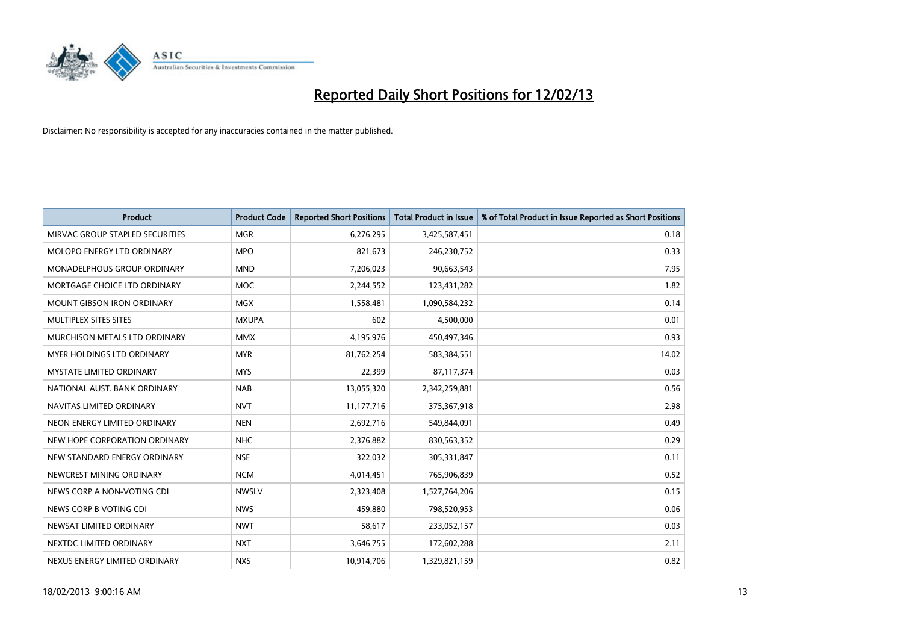

| <b>Product</b>                     | <b>Product Code</b> | <b>Reported Short Positions</b> | <b>Total Product in Issue</b> | % of Total Product in Issue Reported as Short Positions |
|------------------------------------|---------------------|---------------------------------|-------------------------------|---------------------------------------------------------|
| MIRVAC GROUP STAPLED SECURITIES    | <b>MGR</b>          | 6,276,295                       | 3,425,587,451                 | 0.18                                                    |
| MOLOPO ENERGY LTD ORDINARY         | <b>MPO</b>          | 821,673                         | 246,230,752                   | 0.33                                                    |
| <b>MONADELPHOUS GROUP ORDINARY</b> | <b>MND</b>          | 7,206,023                       | 90,663,543                    | 7.95                                                    |
| MORTGAGE CHOICE LTD ORDINARY       | <b>MOC</b>          | 2,244,552                       | 123,431,282                   | 1.82                                                    |
| <b>MOUNT GIBSON IRON ORDINARY</b>  | <b>MGX</b>          | 1,558,481                       | 1,090,584,232                 | 0.14                                                    |
| MULTIPLEX SITES SITES              | <b>MXUPA</b>        | 602                             | 4,500,000                     | 0.01                                                    |
| MURCHISON METALS LTD ORDINARY      | <b>MMX</b>          | 4,195,976                       | 450,497,346                   | 0.93                                                    |
| <b>MYER HOLDINGS LTD ORDINARY</b>  | <b>MYR</b>          | 81,762,254                      | 583,384,551                   | 14.02                                                   |
| MYSTATE LIMITED ORDINARY           | <b>MYS</b>          | 22,399                          | 87,117,374                    | 0.03                                                    |
| NATIONAL AUST. BANK ORDINARY       | <b>NAB</b>          | 13,055,320                      | 2,342,259,881                 | 0.56                                                    |
| NAVITAS LIMITED ORDINARY           | <b>NVT</b>          | 11,177,716                      | 375,367,918                   | 2.98                                                    |
| NEON ENERGY LIMITED ORDINARY       | <b>NEN</b>          | 2,692,716                       | 549,844,091                   | 0.49                                                    |
| NEW HOPE CORPORATION ORDINARY      | <b>NHC</b>          | 2,376,882                       | 830,563,352                   | 0.29                                                    |
| NEW STANDARD ENERGY ORDINARY       | <b>NSE</b>          | 322,032                         | 305,331,847                   | 0.11                                                    |
| NEWCREST MINING ORDINARY           | <b>NCM</b>          | 4,014,451                       | 765,906,839                   | 0.52                                                    |
| NEWS CORP A NON-VOTING CDI         | <b>NWSLV</b>        | 2,323,408                       | 1,527,764,206                 | 0.15                                                    |
| NEWS CORP B VOTING CDI             | <b>NWS</b>          | 459,880                         | 798,520,953                   | 0.06                                                    |
| NEWSAT LIMITED ORDINARY            | <b>NWT</b>          | 58,617                          | 233,052,157                   | 0.03                                                    |
| NEXTDC LIMITED ORDINARY            | <b>NXT</b>          | 3,646,755                       | 172,602,288                   | 2.11                                                    |
| NEXUS ENERGY LIMITED ORDINARY      | <b>NXS</b>          | 10,914,706                      | 1,329,821,159                 | 0.82                                                    |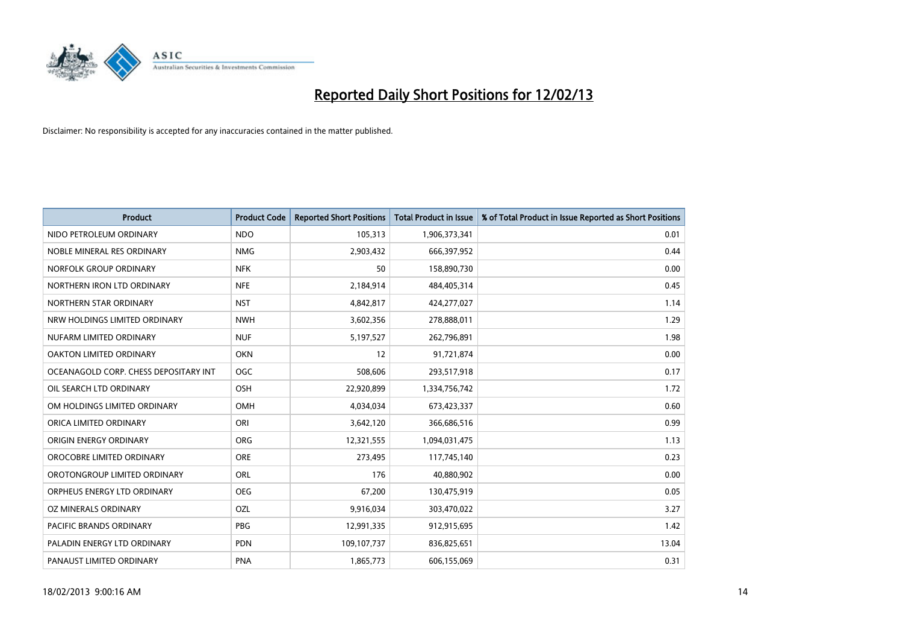

| <b>Product</b>                        | <b>Product Code</b> | <b>Reported Short Positions</b> | <b>Total Product in Issue</b> | % of Total Product in Issue Reported as Short Positions |
|---------------------------------------|---------------------|---------------------------------|-------------------------------|---------------------------------------------------------|
| NIDO PETROLEUM ORDINARY               | <b>NDO</b>          | 105,313                         | 1,906,373,341                 | 0.01                                                    |
| NOBLE MINERAL RES ORDINARY            | <b>NMG</b>          | 2,903,432                       | 666,397,952                   | 0.44                                                    |
| NORFOLK GROUP ORDINARY                | <b>NFK</b>          | 50                              | 158,890,730                   | 0.00                                                    |
| NORTHERN IRON LTD ORDINARY            | <b>NFE</b>          | 2,184,914                       | 484,405,314                   | 0.45                                                    |
| NORTHERN STAR ORDINARY                | <b>NST</b>          | 4,842,817                       | 424,277,027                   | 1.14                                                    |
| NRW HOLDINGS LIMITED ORDINARY         | <b>NWH</b>          | 3,602,356                       | 278,888,011                   | 1.29                                                    |
| NUFARM LIMITED ORDINARY               | <b>NUF</b>          | 5,197,527                       | 262,796,891                   | 1.98                                                    |
| OAKTON LIMITED ORDINARY               | <b>OKN</b>          | 12                              | 91,721,874                    | 0.00                                                    |
| OCEANAGOLD CORP. CHESS DEPOSITARY INT | <b>OGC</b>          | 508,606                         | 293,517,918                   | 0.17                                                    |
| OIL SEARCH LTD ORDINARY               | OSH                 | 22,920,899                      | 1,334,756,742                 | 1.72                                                    |
| OM HOLDINGS LIMITED ORDINARY          | <b>OMH</b>          | 4,034,034                       | 673,423,337                   | 0.60                                                    |
| ORICA LIMITED ORDINARY                | ORI                 | 3,642,120                       | 366,686,516                   | 0.99                                                    |
| ORIGIN ENERGY ORDINARY                | <b>ORG</b>          | 12,321,555                      | 1,094,031,475                 | 1.13                                                    |
| OROCOBRE LIMITED ORDINARY             | <b>ORE</b>          | 273,495                         | 117,745,140                   | 0.23                                                    |
| OROTONGROUP LIMITED ORDINARY          | ORL                 | 176                             | 40,880,902                    | 0.00                                                    |
| ORPHEUS ENERGY LTD ORDINARY           | <b>OEG</b>          | 67,200                          | 130,475,919                   | 0.05                                                    |
| OZ MINERALS ORDINARY                  | OZL                 | 9,916,034                       | 303,470,022                   | 3.27                                                    |
| PACIFIC BRANDS ORDINARY               | <b>PBG</b>          | 12,991,335                      | 912,915,695                   | 1.42                                                    |
| PALADIN ENERGY LTD ORDINARY           | <b>PDN</b>          | 109,107,737                     | 836,825,651                   | 13.04                                                   |
| PANAUST LIMITED ORDINARY              | <b>PNA</b>          | 1,865,773                       | 606,155,069                   | 0.31                                                    |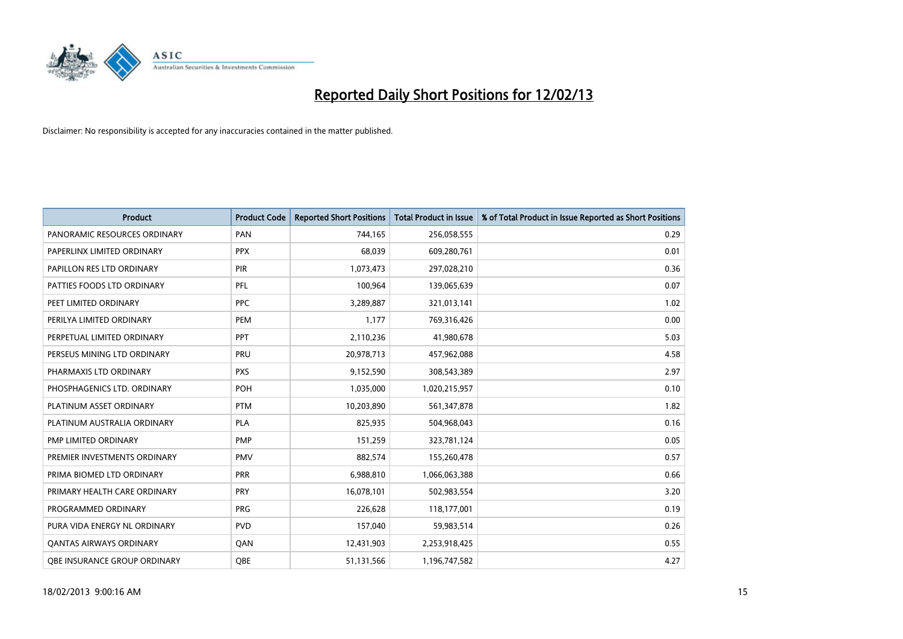

| <b>Product</b>                 | <b>Product Code</b> | <b>Reported Short Positions</b> | <b>Total Product in Issue</b> | % of Total Product in Issue Reported as Short Positions |
|--------------------------------|---------------------|---------------------------------|-------------------------------|---------------------------------------------------------|
| PANORAMIC RESOURCES ORDINARY   | PAN                 | 744,165                         | 256,058,555                   | 0.29                                                    |
| PAPERLINX LIMITED ORDINARY     | <b>PPX</b>          | 68,039                          | 609,280,761                   | 0.01                                                    |
| PAPILLON RES LTD ORDINARY      | PIR                 | 1,073,473                       | 297,028,210                   | 0.36                                                    |
| PATTIES FOODS LTD ORDINARY     | PFL                 | 100,964                         | 139,065,639                   | 0.07                                                    |
| PEET LIMITED ORDINARY          | <b>PPC</b>          | 3,289,887                       | 321,013,141                   | 1.02                                                    |
| PERILYA LIMITED ORDINARY       | PEM                 | 1,177                           | 769,316,426                   | 0.00                                                    |
| PERPETUAL LIMITED ORDINARY     | <b>PPT</b>          | 2,110,236                       | 41,980,678                    | 5.03                                                    |
| PERSEUS MINING LTD ORDINARY    | PRU                 | 20,978,713                      | 457,962,088                   | 4.58                                                    |
| PHARMAXIS LTD ORDINARY         | <b>PXS</b>          | 9,152,590                       | 308,543,389                   | 2.97                                                    |
| PHOSPHAGENICS LTD. ORDINARY    | POH                 | 1,035,000                       | 1,020,215,957                 | 0.10                                                    |
| PLATINUM ASSET ORDINARY        | <b>PTM</b>          | 10,203,890                      | 561,347,878                   | 1.82                                                    |
| PLATINUM AUSTRALIA ORDINARY    | <b>PLA</b>          | 825,935                         | 504,968,043                   | 0.16                                                    |
| PMP LIMITED ORDINARY           | <b>PMP</b>          | 151,259                         | 323,781,124                   | 0.05                                                    |
| PREMIER INVESTMENTS ORDINARY   | <b>PMV</b>          | 882,574                         | 155,260,478                   | 0.57                                                    |
| PRIMA BIOMED LTD ORDINARY      | <b>PRR</b>          | 6,988,810                       | 1,066,063,388                 | 0.66                                                    |
| PRIMARY HEALTH CARE ORDINARY   | <b>PRY</b>          | 16,078,101                      | 502,983,554                   | 3.20                                                    |
| PROGRAMMED ORDINARY            | <b>PRG</b>          | 226,628                         | 118,177,001                   | 0.19                                                    |
| PURA VIDA ENERGY NL ORDINARY   | <b>PVD</b>          | 157,040                         | 59,983,514                    | 0.26                                                    |
| <b>QANTAS AIRWAYS ORDINARY</b> | QAN                 | 12,431,903                      | 2,253,918,425                 | 0.55                                                    |
| OBE INSURANCE GROUP ORDINARY   | <b>OBE</b>          | 51,131,566                      | 1,196,747,582                 | 4.27                                                    |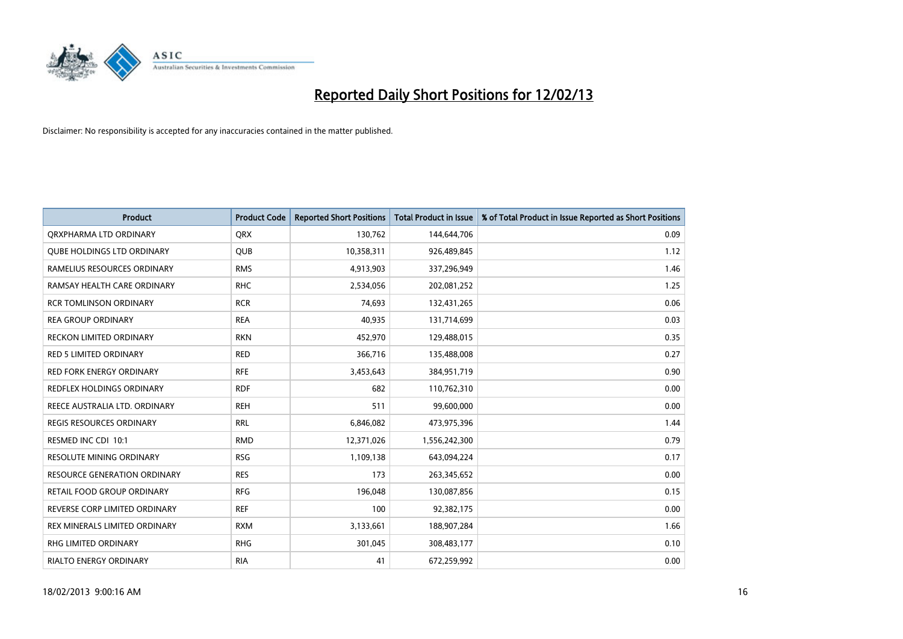

| <b>Product</b>                      | <b>Product Code</b> | <b>Reported Short Positions</b> | <b>Total Product in Issue</b> | % of Total Product in Issue Reported as Short Positions |
|-------------------------------------|---------------------|---------------------------------|-------------------------------|---------------------------------------------------------|
| ORXPHARMA LTD ORDINARY              | <b>QRX</b>          | 130,762                         | 144,644,706                   | 0.09                                                    |
| <b>QUBE HOLDINGS LTD ORDINARY</b>   | QUB                 | 10,358,311                      | 926,489,845                   | 1.12                                                    |
| RAMELIUS RESOURCES ORDINARY         | <b>RMS</b>          | 4,913,903                       | 337,296,949                   | 1.46                                                    |
| RAMSAY HEALTH CARE ORDINARY         | <b>RHC</b>          | 2,534,056                       | 202,081,252                   | 1.25                                                    |
| <b>RCR TOMLINSON ORDINARY</b>       | <b>RCR</b>          | 74,693                          | 132,431,265                   | 0.06                                                    |
| <b>REA GROUP ORDINARY</b>           | <b>REA</b>          | 40,935                          | 131,714,699                   | 0.03                                                    |
| RECKON LIMITED ORDINARY             | <b>RKN</b>          | 452,970                         | 129,488,015                   | 0.35                                                    |
| <b>RED 5 LIMITED ORDINARY</b>       | <b>RED</b>          | 366,716                         | 135,488,008                   | 0.27                                                    |
| <b>RED FORK ENERGY ORDINARY</b>     | <b>RFE</b>          | 3,453,643                       | 384,951,719                   | 0.90                                                    |
| <b>REDFLEX HOLDINGS ORDINARY</b>    | <b>RDF</b>          | 682                             | 110,762,310                   | 0.00                                                    |
| REECE AUSTRALIA LTD. ORDINARY       | <b>REH</b>          | 511                             | 99,600,000                    | 0.00                                                    |
| REGIS RESOURCES ORDINARY            | <b>RRL</b>          | 6,846,082                       | 473,975,396                   | 1.44                                                    |
| RESMED INC CDI 10:1                 | <b>RMD</b>          | 12,371,026                      | 1,556,242,300                 | 0.79                                                    |
| <b>RESOLUTE MINING ORDINARY</b>     | <b>RSG</b>          | 1,109,138                       | 643,094,224                   | 0.17                                                    |
| <b>RESOURCE GENERATION ORDINARY</b> | <b>RES</b>          | 173                             | 263,345,652                   | 0.00                                                    |
| RETAIL FOOD GROUP ORDINARY          | <b>RFG</b>          | 196,048                         | 130,087,856                   | 0.15                                                    |
| REVERSE CORP LIMITED ORDINARY       | <b>REF</b>          | 100                             | 92,382,175                    | 0.00                                                    |
| REX MINERALS LIMITED ORDINARY       | <b>RXM</b>          | 3,133,661                       | 188,907,284                   | 1.66                                                    |
| RHG LIMITED ORDINARY                | <b>RHG</b>          | 301,045                         | 308,483,177                   | 0.10                                                    |
| RIALTO ENERGY ORDINARY              | <b>RIA</b>          | 41                              | 672,259,992                   | 0.00                                                    |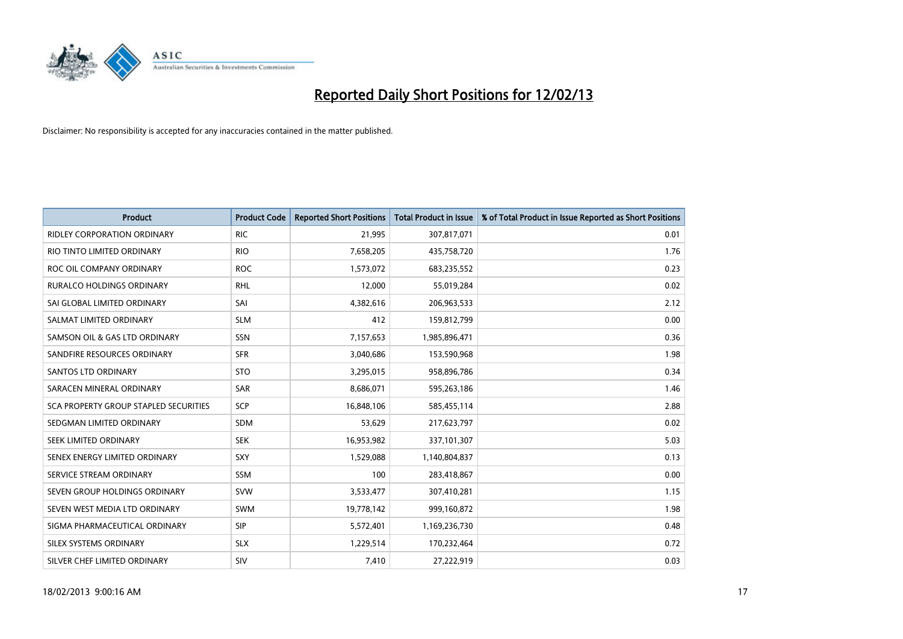

| <b>Product</b>                        | <b>Product Code</b> | <b>Reported Short Positions</b> | <b>Total Product in Issue</b> | % of Total Product in Issue Reported as Short Positions |
|---------------------------------------|---------------------|---------------------------------|-------------------------------|---------------------------------------------------------|
| <b>RIDLEY CORPORATION ORDINARY</b>    | <b>RIC</b>          | 21,995                          | 307,817,071                   | 0.01                                                    |
| RIO TINTO LIMITED ORDINARY            | <b>RIO</b>          | 7,658,205                       | 435,758,720                   | 1.76                                                    |
| ROC OIL COMPANY ORDINARY              | <b>ROC</b>          | 1,573,072                       | 683,235,552                   | 0.23                                                    |
| RURALCO HOLDINGS ORDINARY             | <b>RHL</b>          | 12,000                          | 55,019,284                    | 0.02                                                    |
| SAI GLOBAL LIMITED ORDINARY           | SAI                 | 4,382,616                       | 206,963,533                   | 2.12                                                    |
| SALMAT LIMITED ORDINARY               | <b>SLM</b>          | 412                             | 159,812,799                   | 0.00                                                    |
| SAMSON OIL & GAS LTD ORDINARY         | <b>SSN</b>          | 7,157,653                       | 1,985,896,471                 | 0.36                                                    |
| SANDFIRE RESOURCES ORDINARY           | <b>SFR</b>          | 3,040,686                       | 153,590,968                   | 1.98                                                    |
| SANTOS LTD ORDINARY                   | <b>STO</b>          | 3,295,015                       | 958,896,786                   | 0.34                                                    |
| SARACEN MINERAL ORDINARY              | <b>SAR</b>          | 8,686,071                       | 595,263,186                   | 1.46                                                    |
| SCA PROPERTY GROUP STAPLED SECURITIES | SCP                 | 16,848,106                      | 585,455,114                   | 2.88                                                    |
| SEDGMAN LIMITED ORDINARY              | <b>SDM</b>          | 53,629                          | 217,623,797                   | 0.02                                                    |
| SEEK LIMITED ORDINARY                 | <b>SEK</b>          | 16,953,982                      | 337,101,307                   | 5.03                                                    |
| SENEX ENERGY LIMITED ORDINARY         | SXY                 | 1,529,088                       | 1,140,804,837                 | 0.13                                                    |
| SERVICE STREAM ORDINARY               | <b>SSM</b>          | 100                             | 283,418,867                   | 0.00                                                    |
| SEVEN GROUP HOLDINGS ORDINARY         | <b>SVW</b>          | 3,533,477                       | 307,410,281                   | 1.15                                                    |
| SEVEN WEST MEDIA LTD ORDINARY         | <b>SWM</b>          | 19,778,142                      | 999,160,872                   | 1.98                                                    |
| SIGMA PHARMACEUTICAL ORDINARY         | <b>SIP</b>          | 5,572,401                       | 1,169,236,730                 | 0.48                                                    |
| SILEX SYSTEMS ORDINARY                | <b>SLX</b>          | 1,229,514                       | 170,232,464                   | 0.72                                                    |
| SILVER CHEF LIMITED ORDINARY          | SIV                 | 7,410                           | 27,222,919                    | 0.03                                                    |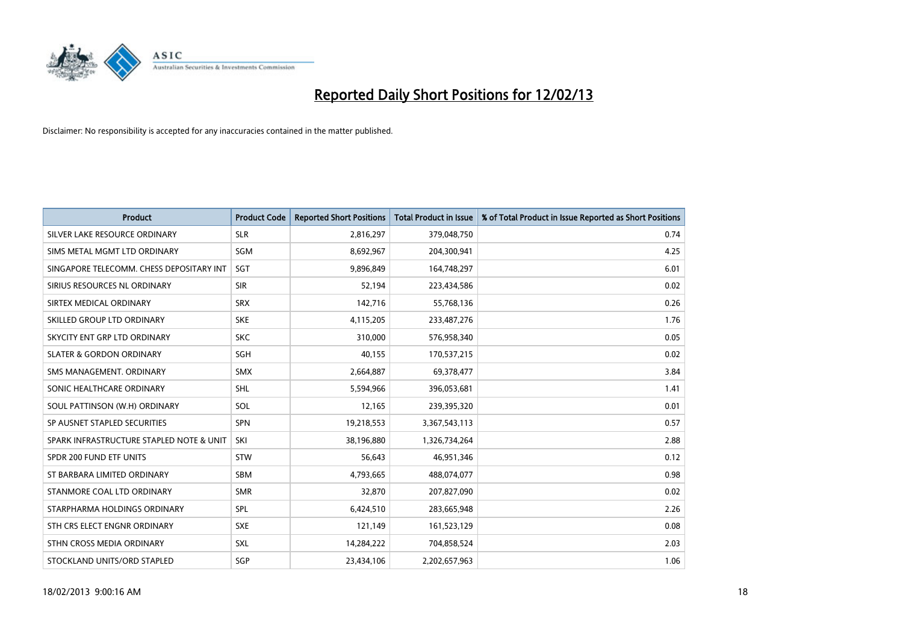

| <b>Product</b>                           | <b>Product Code</b> | <b>Reported Short Positions</b> | <b>Total Product in Issue</b> | % of Total Product in Issue Reported as Short Positions |
|------------------------------------------|---------------------|---------------------------------|-------------------------------|---------------------------------------------------------|
| SILVER LAKE RESOURCE ORDINARY            | <b>SLR</b>          | 2,816,297                       | 379,048,750                   | 0.74                                                    |
| SIMS METAL MGMT LTD ORDINARY             | <b>SGM</b>          | 8,692,967                       | 204,300,941                   | 4.25                                                    |
| SINGAPORE TELECOMM. CHESS DEPOSITARY INT | SGT                 | 9,896,849                       | 164,748,297                   | 6.01                                                    |
| SIRIUS RESOURCES NL ORDINARY             | <b>SIR</b>          | 52,194                          | 223,434,586                   | 0.02                                                    |
| SIRTEX MEDICAL ORDINARY                  | <b>SRX</b>          | 142,716                         | 55,768,136                    | 0.26                                                    |
| SKILLED GROUP LTD ORDINARY               | <b>SKE</b>          | 4,115,205                       | 233,487,276                   | 1.76                                                    |
| SKYCITY ENT GRP LTD ORDINARY             | <b>SKC</b>          | 310.000                         | 576,958,340                   | 0.05                                                    |
| <b>SLATER &amp; GORDON ORDINARY</b>      | <b>SGH</b>          | 40,155                          | 170,537,215                   | 0.02                                                    |
| SMS MANAGEMENT, ORDINARY                 | <b>SMX</b>          | 2,664,887                       | 69,378,477                    | 3.84                                                    |
| SONIC HEALTHCARE ORDINARY                | <b>SHL</b>          | 5,594,966                       | 396,053,681                   | 1.41                                                    |
| SOUL PATTINSON (W.H) ORDINARY            | SOL                 | 12,165                          | 239,395,320                   | 0.01                                                    |
| SP AUSNET STAPLED SECURITIES             | <b>SPN</b>          | 19,218,553                      | 3,367,543,113                 | 0.57                                                    |
| SPARK INFRASTRUCTURE STAPLED NOTE & UNIT | SKI                 | 38,196,880                      | 1,326,734,264                 | 2.88                                                    |
| SPDR 200 FUND ETF UNITS                  | <b>STW</b>          | 56,643                          | 46,951,346                    | 0.12                                                    |
| ST BARBARA LIMITED ORDINARY              | <b>SBM</b>          | 4,793,665                       | 488,074,077                   | 0.98                                                    |
| STANMORE COAL LTD ORDINARY               | <b>SMR</b>          | 32,870                          | 207,827,090                   | 0.02                                                    |
| STARPHARMA HOLDINGS ORDINARY             | <b>SPL</b>          | 6,424,510                       | 283,665,948                   | 2.26                                                    |
| STH CRS ELECT ENGNR ORDINARY             | <b>SXE</b>          | 121,149                         | 161,523,129                   | 0.08                                                    |
| STHN CROSS MEDIA ORDINARY                | <b>SXL</b>          | 14,284,222                      | 704,858,524                   | 2.03                                                    |
| STOCKLAND UNITS/ORD STAPLED              | SGP                 | 23,434,106                      | 2,202,657,963                 | 1.06                                                    |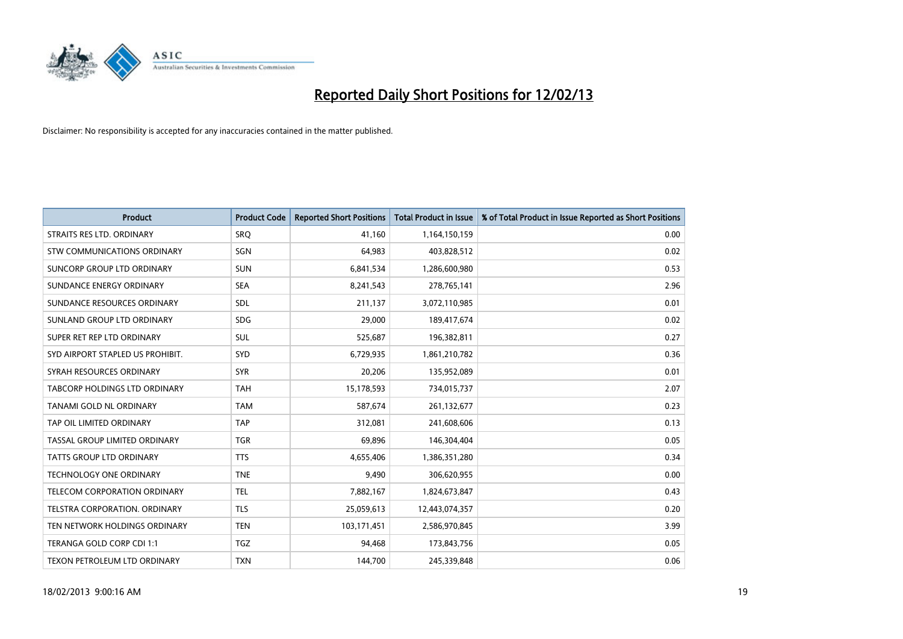

| <b>Product</b>                       | <b>Product Code</b> | <b>Reported Short Positions</b> | <b>Total Product in Issue</b> | % of Total Product in Issue Reported as Short Positions |
|--------------------------------------|---------------------|---------------------------------|-------------------------------|---------------------------------------------------------|
| STRAITS RES LTD. ORDINARY            | SRO                 | 41,160                          | 1,164,150,159                 | 0.00                                                    |
| STW COMMUNICATIONS ORDINARY          | <b>SGN</b>          | 64,983                          | 403,828,512                   | 0.02                                                    |
| SUNCORP GROUP LTD ORDINARY           | <b>SUN</b>          | 6,841,534                       | 1,286,600,980                 | 0.53                                                    |
| SUNDANCE ENERGY ORDINARY             | <b>SEA</b>          | 8,241,543                       | 278,765,141                   | 2.96                                                    |
| SUNDANCE RESOURCES ORDINARY          | <b>SDL</b>          | 211,137                         | 3,072,110,985                 | 0.01                                                    |
| SUNLAND GROUP LTD ORDINARY           | <b>SDG</b>          | 29,000                          | 189,417,674                   | 0.02                                                    |
| SUPER RET REP LTD ORDINARY           | <b>SUL</b>          | 525,687                         | 196,382,811                   | 0.27                                                    |
| SYD AIRPORT STAPLED US PROHIBIT.     | <b>SYD</b>          | 6,729,935                       | 1,861,210,782                 | 0.36                                                    |
| SYRAH RESOURCES ORDINARY             | <b>SYR</b>          | 20,206                          | 135,952,089                   | 0.01                                                    |
| <b>TABCORP HOLDINGS LTD ORDINARY</b> | <b>TAH</b>          | 15,178,593                      | 734,015,737                   | 2.07                                                    |
| TANAMI GOLD NL ORDINARY              | <b>TAM</b>          | 587,674                         | 261,132,677                   | 0.23                                                    |
| TAP OIL LIMITED ORDINARY             | <b>TAP</b>          | 312,081                         | 241,608,606                   | 0.13                                                    |
| TASSAL GROUP LIMITED ORDINARY        | <b>TGR</b>          | 69,896                          | 146,304,404                   | 0.05                                                    |
| <b>TATTS GROUP LTD ORDINARY</b>      | <b>TTS</b>          | 4,655,406                       | 1,386,351,280                 | 0.34                                                    |
| <b>TECHNOLOGY ONE ORDINARY</b>       | <b>TNE</b>          | 9,490                           | 306,620,955                   | 0.00                                                    |
| TELECOM CORPORATION ORDINARY         | <b>TEL</b>          | 7,882,167                       | 1,824,673,847                 | 0.43                                                    |
| TELSTRA CORPORATION. ORDINARY        | <b>TLS</b>          | 25,059,613                      | 12,443,074,357                | 0.20                                                    |
| TEN NETWORK HOLDINGS ORDINARY        | <b>TEN</b>          | 103,171,451                     | 2,586,970,845                 | 3.99                                                    |
| TERANGA GOLD CORP CDI 1:1            | <b>TGZ</b>          | 94,468                          | 173,843,756                   | 0.05                                                    |
| TEXON PETROLEUM LTD ORDINARY         | <b>TXN</b>          | 144,700                         | 245,339,848                   | 0.06                                                    |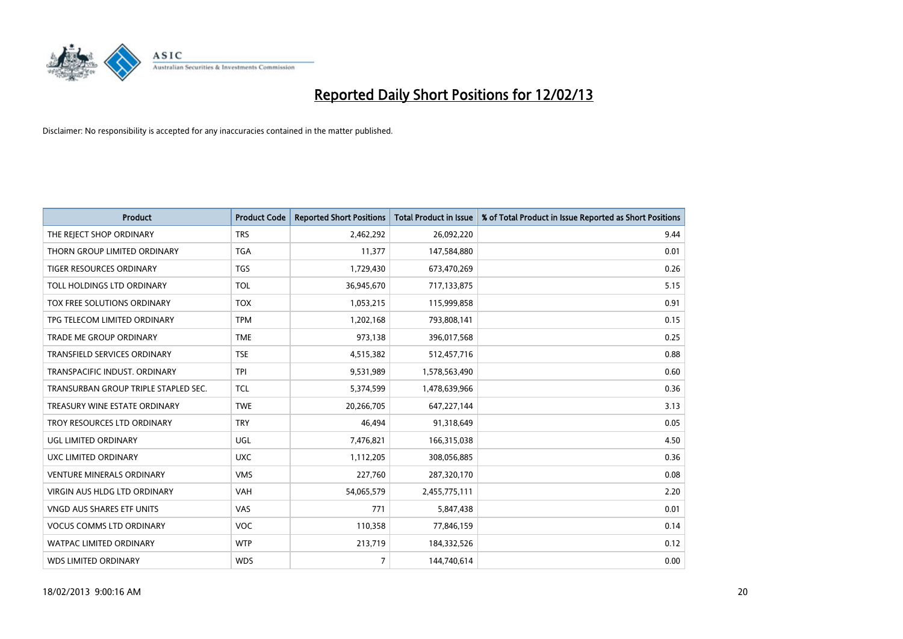

| <b>Product</b>                       | <b>Product Code</b> | <b>Reported Short Positions</b> | <b>Total Product in Issue</b> | % of Total Product in Issue Reported as Short Positions |
|--------------------------------------|---------------------|---------------------------------|-------------------------------|---------------------------------------------------------|
| THE REJECT SHOP ORDINARY             | <b>TRS</b>          | 2,462,292                       | 26,092,220                    | 9.44                                                    |
| THORN GROUP LIMITED ORDINARY         | <b>TGA</b>          | 11,377                          | 147,584,880                   | 0.01                                                    |
| <b>TIGER RESOURCES ORDINARY</b>      | <b>TGS</b>          | 1,729,430                       | 673,470,269                   | 0.26                                                    |
| TOLL HOLDINGS LTD ORDINARY           | <b>TOL</b>          | 36,945,670                      | 717,133,875                   | 5.15                                                    |
| <b>TOX FREE SOLUTIONS ORDINARY</b>   | <b>TOX</b>          | 1,053,215                       | 115,999,858                   | 0.91                                                    |
| TPG TELECOM LIMITED ORDINARY         | <b>TPM</b>          | 1,202,168                       | 793,808,141                   | 0.15                                                    |
| TRADE ME GROUP ORDINARY              | <b>TME</b>          | 973,138                         | 396,017,568                   | 0.25                                                    |
| TRANSFIELD SERVICES ORDINARY         | <b>TSE</b>          | 4,515,382                       | 512,457,716                   | 0.88                                                    |
| TRANSPACIFIC INDUST, ORDINARY        | <b>TPI</b>          | 9,531,989                       | 1,578,563,490                 | 0.60                                                    |
| TRANSURBAN GROUP TRIPLE STAPLED SEC. | <b>TCL</b>          | 5,374,599                       | 1,478,639,966                 | 0.36                                                    |
| TREASURY WINE ESTATE ORDINARY        | <b>TWE</b>          | 20,266,705                      | 647,227,144                   | 3.13                                                    |
| TROY RESOURCES LTD ORDINARY          | <b>TRY</b>          | 46,494                          | 91,318,649                    | 0.05                                                    |
| UGL LIMITED ORDINARY                 | UGL                 | 7,476,821                       | 166,315,038                   | 4.50                                                    |
| <b>UXC LIMITED ORDINARY</b>          | <b>UXC</b>          | 1,112,205                       | 308,056,885                   | 0.36                                                    |
| <b>VENTURE MINERALS ORDINARY</b>     | <b>VMS</b>          | 227,760                         | 287,320,170                   | 0.08                                                    |
| VIRGIN AUS HLDG LTD ORDINARY         | VAH                 | 54,065,579                      | 2,455,775,111                 | 2.20                                                    |
| VNGD AUS SHARES ETF UNITS            | VAS                 | 771                             | 5,847,438                     | 0.01                                                    |
| <b>VOCUS COMMS LTD ORDINARY</b>      | <b>VOC</b>          | 110,358                         | 77,846,159                    | 0.14                                                    |
| <b>WATPAC LIMITED ORDINARY</b>       | <b>WTP</b>          | 213,719                         | 184,332,526                   | 0.12                                                    |
| <b>WDS LIMITED ORDINARY</b>          | <b>WDS</b>          | $\overline{7}$                  | 144,740,614                   | 0.00                                                    |